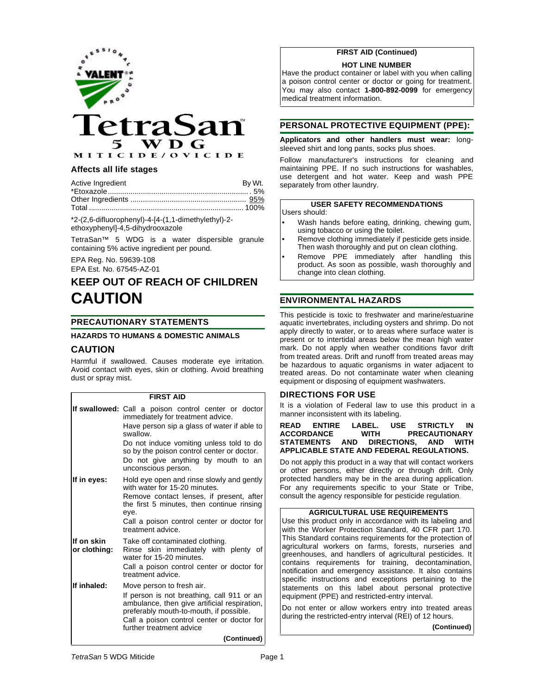

## **Affects all life stages**

| Active Ingredient | By Wt. |
|-------------------|--------|
|                   |        |
|                   |        |
|                   |        |

\*2-(2,6-difluorophenyl)-4-[4-(1,1-dimethylethyl)-2 ethoxyphenyl]-4,5-dihydrooxazole

TetraSan™ 5 WDG is a water dispersible granule containing 5% active ingredient per pound.

EPA Reg. No. 59639-108

EPA Est. No. 67545-AZ-01

# **KEEP OUT OF REACH OF CHILDREN CAUTION**

## **PRECAUTIONARY STATEMENTS**

## **HAZARDS TO HUMANS & DOMESTIC ANIMALS**

## **CAUTION**

Harmful if swallowed. Causes moderate eye irritation. Avoid contact with eyes, skin or clothing. Avoid breathing dust or spray mist.

#### **FIRST AID**

|                            | If swallowed: Call a poison control center or doctor<br>immediately for treatment advice.<br>Have person sip a glass of water if able to<br>swallow.<br>Do not induce vomiting unless told to do<br>so by the poison control center or doctor.<br>Do not give anything by mouth to an<br>unconscious person. |
|----------------------------|--------------------------------------------------------------------------------------------------------------------------------------------------------------------------------------------------------------------------------------------------------------------------------------------------------------|
| If in eyes:                | Hold eye open and rinse slowly and gently<br>with water for 15-20 minutes.<br>Remove contact lenses, if present, after<br>the first 5 minutes, then continue rinsing<br>eye.<br>Call a poison control center or doctor for<br>treatment advice.                                                              |
| If on skin<br>or clothing: | Take off contaminated clothing.<br>Rinse skin immediately with plenty of<br>water for 15-20 minutes.<br>Call a poison control center or doctor for<br>treatment advice.                                                                                                                                      |
| If inhaled:                | Move person to fresh air.<br>If person is not breathing, call 911 or an<br>ambulance, then give artificial respiration,<br>preferably mouth-to-mouth, if possible.<br>Call a poison control center or doctor for<br>further treatment advice<br>(Continued)                                                  |
|                            |                                                                                                                                                                                                                                                                                                              |

## **FIRST AID (Continued)**

#### **HOT LINE NUMBER**

Have the product container or label with you when calling a poison control center or doctor or going for treatment. You may also contact **1-800-892-0099** for emergency medical treatment information.

## **PERSONAL PROTECTIVE EQUIPMENT (PPE):**

**Applicators and other handlers must wear:** longsleeved shirt and long pants, socks plus shoes.

Follow manufacturer's instructions for cleaning and maintaining PPE. If no such instructions for washables, use detergent and hot water. Keep and wash PPE separately from other laundry.

## **USER SAFETY RECOMMENDATIONS**

Users should:

- Wash hands before eating, drinking, chewing gum, using tobacco or using the toilet.
- Remove clothing immediately if pesticide gets inside. Then wash thoroughly and put on clean clothing.
- Remove PPE immediately after handling this product. As soon as possible, wash thoroughly and change into clean clothing.

## **ENVIRONMENTAL HAZARDS**

This pesticide is toxic to freshwater and marine/estuarine aquatic invertebrates, including oysters and shrimp. Do not apply directly to water, or to areas where surface water is present or to intertidal areas below the mean high water mark. Do not apply when weather conditions favor drift from treated areas. Drift and runoff from treated areas may be hazardous to aquatic organisms in water adjacent to treated areas. Do not contaminate water when cleaning equipment or disposing of equipment washwaters.

#### **DIRECTIONS FOR USE**

It is a violation of Federal law to use this product in a manner inconsistent with its labeling.

#### **READ ENTIRE LABEL. USE STRICTLY IN PRECAUTIONARY**<br>NS. AND WITH **STATEMENTS AND DIRECTIONS. APPLICABLE STATE AND FEDERAL REGULATIONS.**

Do not apply this product in a way that will contact workers or other persons, either directly or through drift. Only protected handlers may be in the area during application. For any requirements specific to your State or Tribe, consult the agency responsible for pesticide regulation.

#### **AGRICULTURAL USE REQUIREMENTS**

Use this product only in accordance with its labeling and with the Worker Protection Standard, 40 CFR part 170. This Standard contains requirements for the protection of agricultural workers on farms, forests, nurseries and greenhouses, and handlers of agricultural pesticides. It contains requirements for training, decontamination, notification and emergency assistance. It also contains specific instructions and exceptions pertaining to the statements on this label about personal protective equipment (PPE) and restricted-entry interval.

Do not enter or allow workers entry into treated areas during the restricted-entry interval (REI) of 12 hours.

**(Continued)**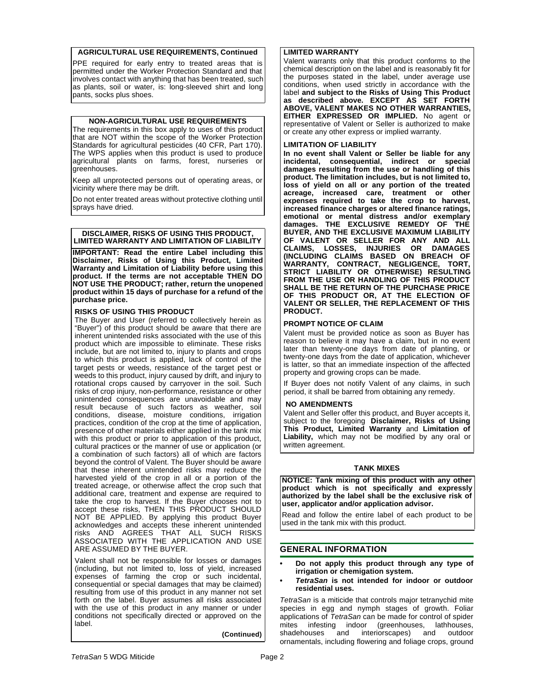#### **AGRICULTURAL USE REQUIREMENTS, Continued**

PPE required for early entry to treated areas that is permitted under the Worker Protection Standard and that involves contact with anything that has been treated, such as plants, soil or water, is: long-sleeved shirt and long pants, socks plus shoes.

#### **NON-AGRICULTURAL USE REQUIREMENTS**

The requirements in this box apply to uses of this product that are NOT within the scope of the Worker Protection Standards for agricultural pesticides (40 CFR, Part 170). The WPS applies when this product is used to produce agricultural plants on farms, forest, nurseries or greenhouses.

Keep all unprotected persons out of operating areas, or vicinity where there may be drift.

Do not enter treated areas without protective clothing until sprays have dried.

#### **DISCLAIMER, RISKS OF USING THIS PRODUCT, LIMITED WARRANTY AND LIMITATION OF LIABILITY**

**IMPORTANT: Read the entire Label including this Disclaimer, Risks of Using this Product, Limited Warranty and Limitation of Liability before using this product. If the terms are not acceptable THEN DO NOT USE THE PRODUCT; rather, return the unopened product within 15 days of purchase for a refund of the purchase price.**

## **RISKS OF USING THIS PRODUCT**

The Buyer and User (referred to collectively herein as "Buyer") of this product should be aware that there are inherent unintended risks associated with the use of this product which are impossible to eliminate. These risks include, but are not limited to, injury to plants and crops to which this product is applied, lack of control of the target pests or weeds, resistance of the target pest or weeds to this product, injury caused by drift, and injury to rotational crops caused by carryover in the soil. Such risks of crop injury, non-performance, resistance or other unintended consequences are unavoidable and may result because of such factors as weather, soil conditions, disease, moisture conditions, irrigation practices, condition of the crop at the time of application, presence of other materials either applied in the tank mix with this product or prior to application of this product, cultural practices or the manner of use or application (or a combination of such factors) all of which are factors beyond the control of Valent. The Buyer should be aware that these inherent unintended risks may reduce the harvested yield of the crop in all or a portion of the treated acreage, or otherwise affect the crop such that additional care, treatment and expense are required to take the crop to harvest. If the Buyer chooses not to accept these risks, THEN THIS PRODUCT SHOULD NOT BE APPLIED. By applying this product Buyer acknowledges and accepts these inherent unintended risks AND AGREES THAT ALL SUCH RISKS ASSOCIATED WITH THE APPLICATION AND USE ARE ASSUMED BY THE BUYER.

Valent shall not be responsible for losses or damages (including, but not limited to, loss of yield, increased expenses of farming the crop or such incidental, consequential or special damages that may be claimed) resulting from use of this product in any manner not set forth on the label. Buyer assumes all risks associated with the use of this product in any manner or under conditions not specifically directed or approved on the label.

**(Continued)**

## **LIMITED WARRANTY**

Valent warrants only that this product conforms to the chemical description on the label and is reasonably fit for the purposes stated in the label, under average use conditions, when used strictly in accordance with the label **and subject to the Risks of Using This Product as described above. EXCEPT AS SET FORTH ABOVE, VALENT MAKES NO OTHER WARRANTIES, EITHER EXPRESSED OR IMPLIED.** No agent or representative of Valent or Seller is authorized to make or create any other express or implied warranty.

#### **LIMITATION OF LIABILITY**

**In no event shall Valent or Seller be liable for any incidental, consequential, indirect or special damages resulting from the use or handling of this product. The limitation includes, but is not limited to, loss of yield on all or any portion of the treated acreage, increased care, treatment or other expenses required to take the crop to harvest, increased finance charges or altered finance ratings, emotional or mental distress and/or exemplary damages. THE EXCLUSIVE REMEDY OF THE BUYER, AND THE EXCLUSIVE MAXIMUM LIABILITY OF VALENT OR SELLER FOR ANY AND ALL CLAIMS, LOSSES, INJURIES OR DAMAGES (INCLUDING CLAIMS BASED ON BREACH OF WARRANTY, CONTRACT, NEGLIGENCE, TORT, STRICT LIABILITY OR OTHERWISE) RESULTING** FROM THE USE OR HANDLING OF THIS PRODUCT **SHALL BE THE RETURN OF THE PURCHASE PRICE OF THIS PRODUCT OR, AT THE ELECTION OF VALENT OR SELLER, THE REPLACEMENT OF THIS PRODUCT.**

#### **PROMPT NOTICE OF CLAIM**

Valent must be provided notice as soon as Buyer has reason to believe it may have a claim, but in no event later than twenty-one days from date of planting, or twenty-one days from the date of application, whichever is latter, so that an immediate inspection of the affected property and growing crops can be made.

If Buyer does not notify Valent of any claims, in such period, it shall be barred from obtaining any remedy.

## **NO AMENDMENTS**

Valent and Seller offer this product, and Buyer accepts it, subject to the foregoing **Disclaimer, Risks of Using This Product, Limited Warranty** and **Limitation of Liability,** which may not be modified by any oral or written agreement.

#### **TANK MIXES**

**NOTICE: Tank mixing of this product with any other product which is not specifically and expressly authorized by the label shall be the exclusive risk of user, applicator and/or application advisor.**

Read and follow the entire label of each product to be used in the tank mix with this product.

## **GENERAL INFORMATION**

- **• Do not apply this product through any type of irrigation or chemigation system.**
- **•** *TetraSan* **is not intended for indoor or outdoor residential uses.**

*TetraSan* is a miticide that controls major tetranychid mite species in egg and nymph stages of growth. Foliar applications of *TetraSan* can be made for control of spider<br>mites infesting indoor (greenhouses, lathhouses, mites infesting indoor (greenhouses, lathhouses, shadehouses and interiorscapes) and outdoor ornamentals, including flowering and foliage crops, ground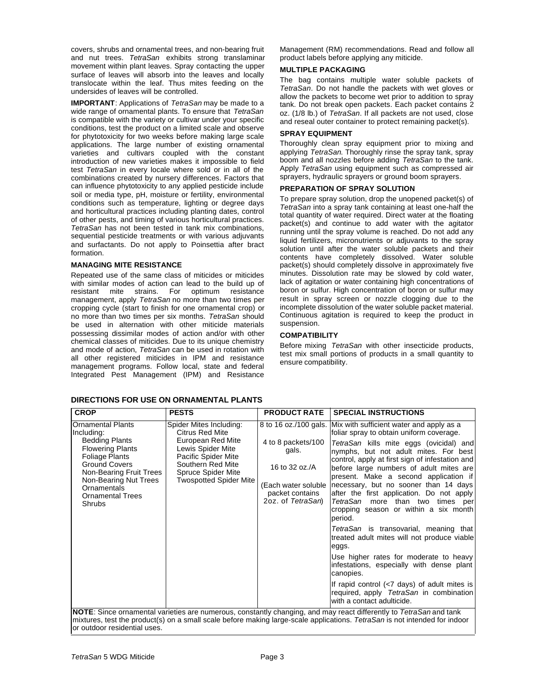covers, shrubs and ornamental trees, and non-bearing fruit and nut trees. *TetraSan* exhibits strong translaminar movement within plant leaves. Spray contacting the upper surface of leaves will absorb into the leaves and locally translocate within the leaf. Thus mites feeding on the undersides of leaves will be controlled.

**IMPORTANT**: Applications of *TetraSan* may be made to a wide range of ornamental plants. To ensure that *TetraSan* is compatible with the variety or cultivar under your specific conditions, test the product on a limited scale and observe for phytotoxicity for two weeks before making large scale applications. The large number of existing ornamental varieties and cultivars coupled with the constant introduction of new varieties makes it impossible to field test *TetraSan* in every locale where sold or in all of the combinations created by nursery differences. Factors that can influence phytotoxicity to any applied pesticide include soil or media type, pH, moisture or fertility, environmental conditions such as temperature, lighting or degree days and horticultural practices including planting dates, control of other pests, and timing of various horticultural practices. *TetraSan* has not been tested in tank mix combinations, sequential pesticide treatments or with various adjuvants and surfactants. Do not apply to Poinsettia after bract formation.

#### **MANAGING MITE RESISTANCE**

Repeated use of the same class of miticides or miticides with similar modes of action can lead to the build up of resistant mite strains. For optimum resistance resistant mite strains. For optimum resistance management, apply *TetraSan* no more than two times per cropping cycle (start to finish for one ornamental crop) or no more than two times per six months. *TetraSan* should be used in alternation with other miticide materials possessing dissimilar modes of action and/or with other chemical classes of miticides. Due to its unique chemistry and mode of action, *TetraSan* can be used in rotation with all other registered miticides in IPM and resistance management programs. Follow local, state and federal Integrated Pest Management (IPM) and Resistance

#### **DIRECTIONS FOR USE ON ORNAMENTAL PLANTS**

Management (RM) recommendations. Read and follow all product labels before applying any miticide.

#### **MULTIPLE PACKAGING**

The bag contains multiple water soluble packets of *TetraSan*. Do not handle the packets with wet gloves or allow the packets to become wet prior to addition to spray tank. Do not break open packets. Each packet contains 2 oz. (1/8 lb.) of *TetraSan*. If all packets are not used, close and reseal outer container to protect remaining packet(s).

#### **SPRAY EQUIPMENT**

Thoroughly clean spray equipment prior to mixing and applying *TetraSan*. Thoroughly rinse the spray tank, spray boom and all nozzles before adding *TetraSan* to the tank. Apply *TetraSan* using equipment such as compressed air sprayers, hydraulic sprayers or ground boom sprayers.

#### **PREPARATION OF SPRAY SOLUTION**

To prepare spray solution, drop the unopened packet(s) of *TetraSan* into a spray tank containing at least one-half the total quantity of water required. Direct water at the floating packet(s) and continue to add water with the agitator running until the spray volume is reached. Do not add any liquid fertilizers, micronutrients or adjuvants to the spray solution until after the water soluble packets and their contents have completely dissolved. Water soluble packet(s) should completely dissolve in approximately five minutes. Dissolution rate may be slowed by cold water, lack of agitation or water containing high concentrations of boron or sulfur. High concentration of boron or sulfur may result in spray screen or nozzle clogging due to the incomplete dissolution of the water soluble packet material. Continuous agitation is required to keep the product in suspension.

#### **COMPATIBILITY**

Before mixing *TetraSan* with other insecticide products, test mix small portions of products in a small quantity to ensure compatibility.

| <b>CROP</b>                                                                                                                                                                                                                                                                      | <b>PESTS</b>                                                                                                                                                                            | <b>PRODUCT RATE</b>                                                                   | <b>SPECIAL INSTRUCTIONS</b>                                                                                                                                                                                                                                                                                                                                                                                                                                                                                                                                                                                                                                                                                                                                                                                                                                                        |  |  |  |
|----------------------------------------------------------------------------------------------------------------------------------------------------------------------------------------------------------------------------------------------------------------------------------|-----------------------------------------------------------------------------------------------------------------------------------------------------------------------------------------|---------------------------------------------------------------------------------------|------------------------------------------------------------------------------------------------------------------------------------------------------------------------------------------------------------------------------------------------------------------------------------------------------------------------------------------------------------------------------------------------------------------------------------------------------------------------------------------------------------------------------------------------------------------------------------------------------------------------------------------------------------------------------------------------------------------------------------------------------------------------------------------------------------------------------------------------------------------------------------|--|--|--|
| <b>Ornamental Plants</b><br>Including:<br><b>Bedding Plants</b><br><b>Flowering Plants</b><br><b>Foliage Plants</b><br><b>Ground Covers</b><br>Non-Bearing Fruit Trees<br>Non-Bearing Nut Trees<br>Ornamentals<br><b>Ornamental Trees</b><br><b>Shrubs</b>                       | Spider Mites Including:<br>Citrus Red Mite<br>European Red Mite<br>Lewis Spider Mite<br>Pacific Spider Mite<br>Southern Red Mite<br>Spruce Spider Mite<br><b>Twospotted Spider Mite</b> | 4 to 8 packets/100<br>gals.<br>16 to 32 oz./A<br>packet contains<br>2oz. of TetraSan) | 8 to 16 oz./100 gals. Mix with sufficient water and apply as a<br>foliar spray to obtain uniform coverage.<br>TetraSan kills mite eggs (ovicidal) and<br>nymphs, but not adult mites. For best<br>control, apply at first sign of infestation and<br>before large numbers of adult mites are<br>present. Make a second application if<br>(Each water soluble   necessary, but no sooner than 14 days  <br>after the first application. Do not apply<br>TetraSan more than two times per<br>cropping season or within a six month<br>period.<br>TetraSan is transovarial, meaning that<br>treated adult mites will not produce viable<br>eggs.<br>Use higher rates for moderate to heavy<br>infestations, especially with dense plant<br>canopies.<br>If rapid control $\left($ <7 days) of adult mites is<br>required, apply TetraSan in combination<br>with a contact adulticide. |  |  |  |
| NOTE: Since ornamental varieties are numerous, constantly changing, and may react differently to TetraSan and tank<br>mixtures, test the product(s) on a small scale before making large-scale applications. TetraSan is not intended for indoor<br>or outdoor residential uses. |                                                                                                                                                                                         |                                                                                       |                                                                                                                                                                                                                                                                                                                                                                                                                                                                                                                                                                                                                                                                                                                                                                                                                                                                                    |  |  |  |